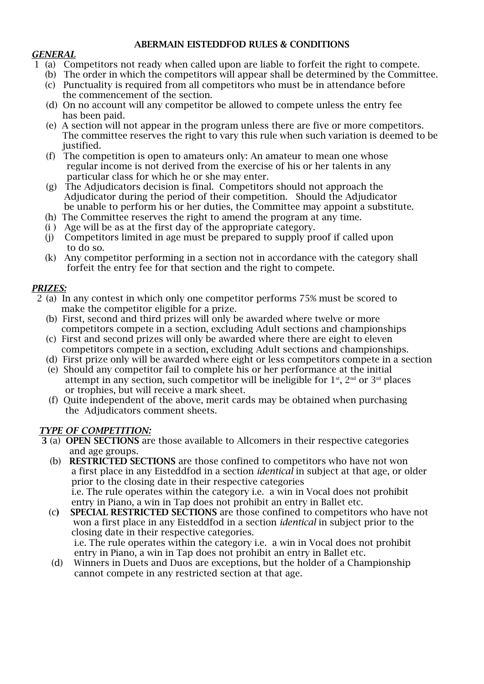#### **ABERMAIN EISTEDDFOD RULES & CONDITIONS**

#### *GENERAL*

- 1 (a) Competitors not ready when called upon are liable to forfeit the right to compete.
	- (b) The order in which the competitors will appear shall be determined by the Committee.
	- (c) Punctuality is required from all competitors who must be in attendance before the commencement of the section.
	- (d) On no account will any competitor be allowed to compete unless the entry fee has been paid.
	- (e) A section will not appear in the program unless there are five or more competitors. The committee reserves the right to vary this rule when such variation is deemed to be justified.
	- (f) The competition is open to amateurs only: An amateur to mean one whose regular income is not derived from the exercise of his or her talents in any particular class for which he or she may enter.
	- (g) The Adjudicators decision is final. Competitors should not approach the Adjudicator during the period of their competition. Should the Adjudicator be unable to perform his or her duties, the Committee may appoint a substitute.
	- (h) The Committee reserves the right to amend the program at any time.
	- $(i)$  Age will be as at the first day of the appropriate category.
	- (j) Competitors limited in age must be prepared to supply proof if called upon to do so.
	- (k) Any competitor performing in a section not in accordance with the category shall forfeit the entry fee for that section and the right to compete.

# *PRIZES:*

- 2 (a) In any contest in which only one competitor performs 75% must be scored to make the competitor eligible for a prize.
	- (b) First, second and third prizes will only be awarded where twelve or more competitors compete in a section, excluding Adult sections and championships
	- (c) First and second prizes will only be awarded where there are eight to eleven competitors compete in a section, excluding Adult sections and championships.
	- (d) First prize only will be awarded where eight or less competitors compete in a section
	- (e) Should any competitor fail to complete his or her performance at the initial attempt in any section, such competitor will be ineligible for  $1<sup>st</sup>$ ,  $2<sup>nd</sup>$  or  $3<sup>rd</sup>$  places or trophies, but will receive a mark sheet.
	- (f) Quite independent of the above, merit cards may be obtained when purchasing the Adjudicators comment sheets.

# *TYPE OF COMPETITION:*

- **3** (a) **OPEN SECTIONS** are those available to Allcomers in their respective categories and age groups.
	- (b) **RESTRICTED SECTIONS** are those confined to competitors who have not won a first place in any Eisteddfod in a section *identical* in subject at that age, or older prior to the closing date in their respective categories i.e. The rule operates within the category i.e. a win in Vocal does not prohibit entry in Piano, a win in Tap does not prohibit an entry in Ballet etc.
	- (c**) SPECIAL RESTRICTED SECTIONS** are those confined to competitors who have not won a first place in any Eisteddfod in a section *identical* in subject prior to the closing date in their respective categories. i.e. The rule operates within the category i.e. a win in Vocal does not prohibit entry in Piano, a win in Tap does not prohibit an entry in Ballet etc.
	- (d) Winners in Duets and Duos are exceptions, but the holder of a Championship cannot compete in any restricted section at that age.